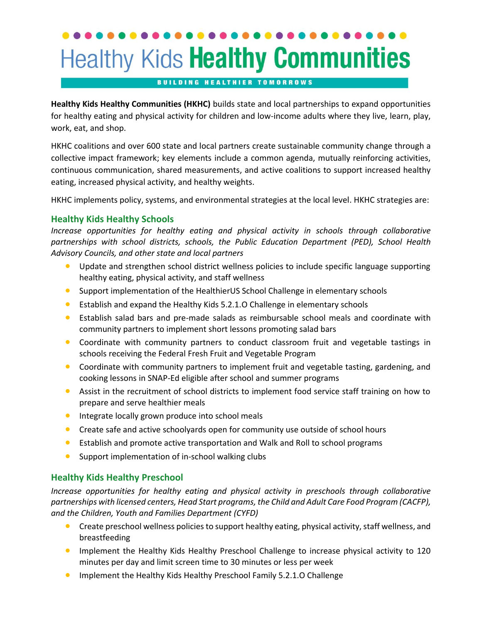# **Healthy Kids Healthy Communities**

#### **BUILDING HEALTHIER TOMORROWS**

**Healthy Kids Healthy Communities (HKHC)** builds state and local partnerships to expand opportunities for healthy eating and physical activity for children and low-income adults where they live, learn, play, work, eat, and shop.

HKHC coalitions and over 600 state and local partners create sustainable community change through a collective impact framework; key elements include a common agenda, mutually reinforcing activities, continuous communication, shared measurements, and active coalitions to support increased healthy eating, increased physical activity, and healthy weights.

HKHC implements policy, systems, and environmental strategies at the local level. HKHC strategies are:

### **Healthy Kids Healthy Schools**

*Increase opportunities for healthy eating and physical activity in schools through collaborative partnerships with school districts, schools, the Public Education Department (PED), School Health Advisory Councils, and other state and local partners*

- Update and strengthen school district wellness policies to include specific language supporting healthy eating, physical activity, and staff wellness
- Support implementation of the HealthierUS School Challenge in elementary schools
- Establish and expand the Healthy Kids 5.2.1.O Challenge in elementary schools
- Establish salad bars and pre-made salads as reimbursable school meals and coordinate with community partners to implement short lessons promoting salad bars
- Coordinate with community partners to conduct classroom fruit and vegetable tastings in schools receiving the Federal Fresh Fruit and Vegetable Program
- Coordinate with community partners to implement fruit and vegetable tasting, gardening, and cooking lessons in SNAP-Ed eligible after school and summer programs
- Assist in the recruitment of school districts to implement food service staff training on how to prepare and serve healthier meals
- **•** Integrate locally grown produce into school meals
- Create safe and active schoolyards open for community use outside of school hours
- Establish and promote active transportation and Walk and Roll to school programs
- Support implementation of in-school walking clubs

### **Healthy Kids Healthy Preschool**

*Increase opportunities for healthy eating and physical activity in preschools through collaborative partnerships with licensed centers, Head Start programs, the Child and Adult Care Food Program (CACFP), and the Children, Youth and Families Department (CYFD)*

- Create preschool wellness policies to support healthy eating, physical activity, staff wellness, and breastfeeding
- Implement the Healthy Kids Healthy Preschool Challenge to increase physical activity to 120 minutes per day and limit screen time to 30 minutes or less per week
- Implement the Healthy Kids Healthy Preschool Family 5.2.1.0 Challenge